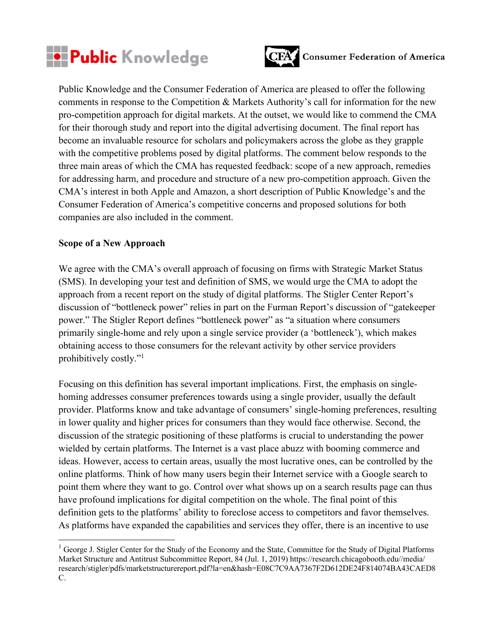



Public Knowledge and the Consumer Federation of America are pleased to offer the following comments in response to the Competition & Markets Authority's call for information for the new pro-competition approach for digital markets. At the outset, we would like to commend the CMA for their thorough study and report into the digital advertising document. The final report has become an invaluable resource for scholars and policymakers across the globe as they grapple with the competitive problems posed by digital platforms. The comment below responds to the three main areas of which the CMA has requested feedback: scope of a new approach, remedies for addressing harm, and procedure and structure of a new pro-competition approach. Given the CMA's interest in both Apple and Amazon, a short description of Public Knowledge's and the Consumer Federation of America's competitive concerns and proposed solutions for both companies are also included in the comment.

## **Scope of a New Approach**

We agree with the CMA's overall approach of focusing on firms with Strategic Market Status (SMS). In developing your test and definition of SMS, we would urge the CMA to adopt the approach from a recent report on the study of digital platforms. The Stigler Center Report's discussion of "bottleneck power" relies in part on the Furman Report's discussion of "gatekeeper power." The Stigler Report defines "bottleneck power" as "a situation where consumers primarily single-home and rely upon a single service provider (a 'bottleneck'), which makes obtaining access to those consumers for the relevant activity by other service providers prohibitively costly."<sup>1</sup>

Focusing on this definition has several important implications. First, the emphasis on singlehoming addresses consumer preferences towards using a single provider, usually the default provider. Platforms know and take advantage of consumers' single-homing preferences, resulting in lower quality and higher prices for consumers than they would face otherwise. Second, the discussion of the strategic positioning of these platforms is crucial to understanding the power wielded by certain platforms. The Internet is a vast place abuzz with booming commerce and ideas. However, access to certain areas, usually the most lucrative ones, can be controlled by the online platforms. Think of how many users begin their Internet service with a Google search to point them where they want to go. Control over what shows up on a search results page can thus have profound implications for digital competition on the whole. The final point of this definition gets to the platforms' ability to foreclose access to competitors and favor themselves. As platforms have expanded the capabilities and services they offer, there is an incentive to use

<sup>&</sup>lt;sup>1</sup> George J. Stigler Center for the Study of the Economy and the State, Committee for the Study of Digital Platforms Market Structure and Antitrust Subcommittee Report, 84 (Jul. 1, 2019) https://research.chicagobooth.edu//media/ research/stigler/pdfs/marketstructurereport.pdf?la=en&hash=E08C7C9AA7367F2D612DE24F814074BA43CAED8 C.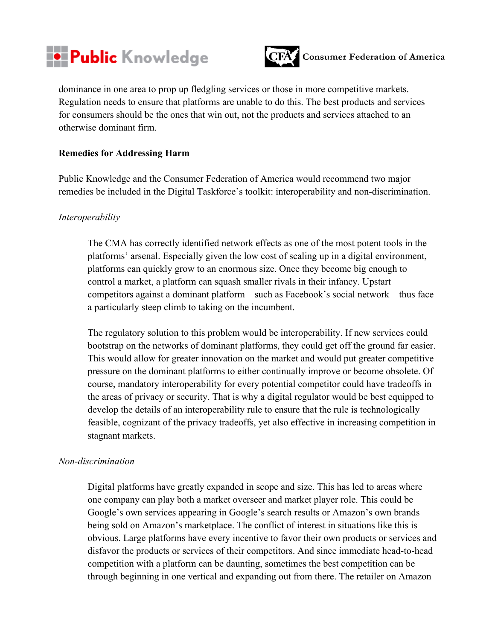



dominance in one area to prop up fledgling services or those in more competitive markets. Regulation needs to ensure that platforms are unable to do this. The best products and services for consumers should be the ones that win out, not the products and services attached to an otherwise dominant firm.

## **Remedies for Addressing Harm**

Public Knowledge and the Consumer Federation of America would recommend two major remedies be included in the Digital Taskforce's toolkit: interoperability and non-discrimination.

#### *Interoperability*

The CMA has correctly identified network effects as one of the most potent tools in the platforms' arsenal. Especially given the low cost of scaling up in a digital environment, platforms can quickly grow to an enormous size. Once they become big enough to control a market, a platform can squash smaller rivals in their infancy. Upstart competitors against a dominant platform—such as Facebook's social network—thus face a particularly steep climb to taking on the incumbent.

The regulatory solution to this problem would be interoperability. If new services could bootstrap on the networks of dominant platforms, they could get off the ground far easier. This would allow for greater innovation on the market and would put greater competitive pressure on the dominant platforms to either continually improve or become obsolete. Of course, mandatory interoperability for every potential competitor could have tradeoffs in the areas of privacy or security. That is why a digital regulator would be best equipped to develop the details of an interoperability rule to ensure that the rule is technologically feasible, cognizant of the privacy tradeoffs, yet also effective in increasing competition in stagnant markets.

#### *Non-discrimination*

Digital platforms have greatly expanded in scope and size. This has led to areas where one company can play both a market overseer and market player role. This could be Google's own services appearing in Google's search results or Amazon's own brands being sold on Amazon's marketplace. The conflict of interest in situations like this is obvious. Large platforms have every incentive to favor their own products or services and disfavor the products or services of their competitors. And since immediate head-to-head competition with a platform can be daunting, sometimes the best competition can be through beginning in one vertical and expanding out from there. The retailer on Amazon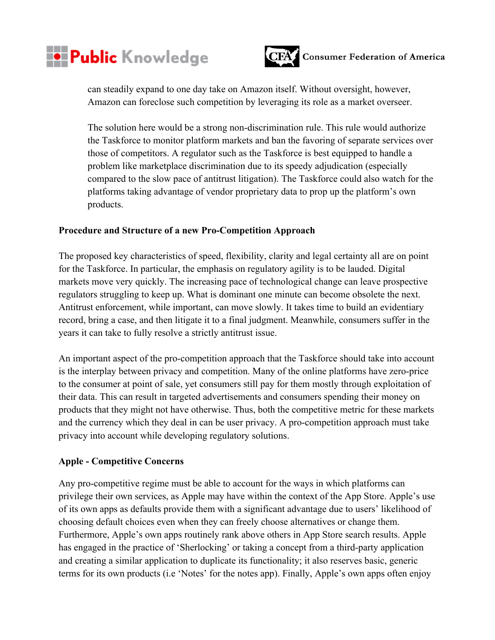



can steadily expand to one day take on Amazon itself. Without oversight, however, Amazon can foreclose such competition by leveraging its role as a market overseer.

The solution here would be a strong non-discrimination rule. This rule would authorize the Taskforce to monitor platform markets and ban the favoring of separate services over those of competitors. A regulator such as the Taskforce is best equipped to handle a problem like marketplace discrimination due to its speedy adjudication (especially compared to the slow pace of antitrust litigation). The Taskforce could also watch for the platforms taking advantage of vendor proprietary data to prop up the platform's own products.

## **Procedure and Structure of a new Pro-Competition Approach**

The proposed key characteristics of speed, flexibility, clarity and legal certainty all are on point for the Taskforce. In particular, the emphasis on regulatory agility is to be lauded. Digital markets move very quickly. The increasing pace of technological change can leave prospective regulators struggling to keep up. What is dominant one minute can become obsolete the next. Antitrust enforcement, while important, can move slowly. It takes time to build an evidentiary record, bring a case, and then litigate it to a final judgment. Meanwhile, consumers suffer in the years it can take to fully resolve a strictly antitrust issue.

An important aspect of the pro-competition approach that the Taskforce should take into account is the interplay between privacy and competition. Many of the online platforms have zero-price to the consumer at point of sale, yet consumers still pay for them mostly through exploitation of their data. This can result in targeted advertisements and consumers spending their money on products that they might not have otherwise. Thus, both the competitive metric for these markets and the currency which they deal in can be user privacy. A pro-competition approach must take privacy into account while developing regulatory solutions.

## **Apple - Competitive Concerns**

Any pro-competitive regime must be able to account for the ways in which platforms can privilege their own services, as Apple may have within the context of the App Store. Apple's use of its own apps as defaults provide them with a significant advantage due to users' likelihood of choosing default choices even when they can freely choose alternatives or change them. Furthermore, Apple's own apps routinely rank above others in App Store search results. Apple has engaged in the practice of 'Sherlocking' or taking a concept from a third-party application and creating a similar application to duplicate its functionality; it also reserves basic, generic terms for its own products (i.e 'Notes' for the notes app). Finally, Apple's own apps often enjoy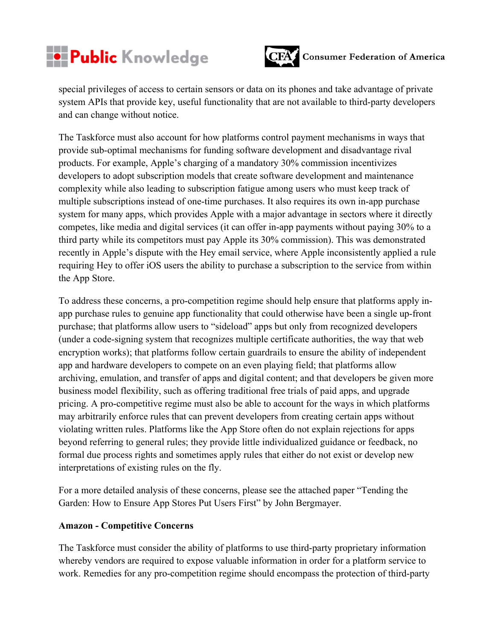



special privileges of access to certain sensors or data on its phones and take advantage of private system APIs that provide key, useful functionality that are not available to third-party developers and can change without notice.

The Taskforce must also account for how platforms control payment mechanisms in ways that provide sub-optimal mechanisms for funding software development and disadvantage rival products. For example, Apple's charging of a mandatory 30% commission incentivizes developers to adopt subscription models that create software development and maintenance complexity while also leading to subscription fatigue among users who must keep track of multiple subscriptions instead of one-time purchases. It also requires its own in-app purchase system for many apps, which provides Apple with a major advantage in sectors where it directly competes, like media and digital services (it can offer in-app payments without paying 30% to a third party while its competitors must pay Apple its 30% commission). This was demonstrated recently in Apple's dispute with the Hey email service, where Apple inconsistently applied a rule requiring Hey to offer iOS users the ability to purchase a subscription to the service from within the App Store.

To address these concerns, a pro-competition regime should help ensure that platforms apply inapp purchase rules to genuine app functionality that could otherwise have been a single up-front purchase; that platforms allow users to "sideload" apps but only from recognized developers (under a code-signing system that recognizes multiple certificate authorities, the way that web encryption works); that platforms follow certain guardrails to ensure the ability of independent app and hardware developers to compete on an even playing field; that platforms allow archiving, emulation, and transfer of apps and digital content; and that developers be given more business model flexibility, such as offering traditional free trials of paid apps, and upgrade pricing. A pro-competitive regime must also be able to account for the ways in which platforms may arbitrarily enforce rules that can prevent developers from creating certain apps without violating written rules. Platforms like the App Store often do not explain rejections for apps beyond referring to general rules; they provide little individualized guidance or feedback, no formal due process rights and sometimes apply rules that either do not exist or develop new interpretations of existing rules on the fly.

For a more detailed analysis of these concerns, please see the attached paper "Tending the Garden: How to Ensure App Stores Put Users First" by John Bergmayer.

## **Amazon - Competitive Concerns**

The Taskforce must consider the ability of platforms to use third-party proprietary information whereby vendors are required to expose valuable information in order for a platform service to work. Remedies for any pro-competition regime should encompass the protection of third-party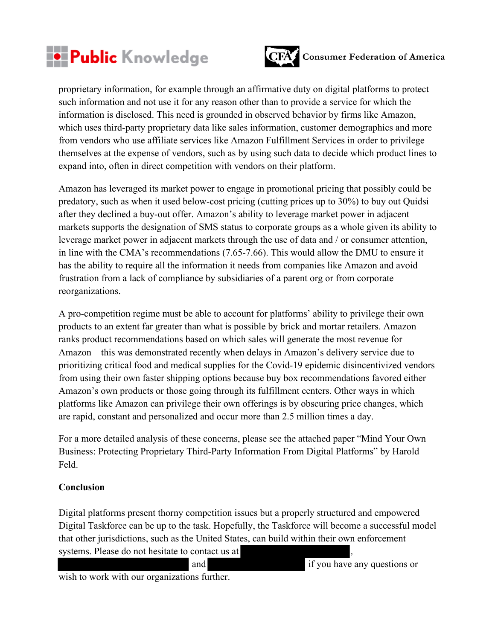



proprietary information, for example through an affirmative duty on digital platforms to protect such information and not use it for any reason other than to provide a service for which the information is disclosed. This need is grounded in observed behavior by firms like Amazon, which uses third-party proprietary data like sales information, customer demographics and more from vendors who use affiliate services like Amazon Fulfillment Services in order to privilege themselves at the expense of vendors, such as by using such data to decide which product lines to expand into, often in direct competition with vendors on their platform.

Amazon has leveraged its market power to engage in promotional pricing that possibly could be predatory, such as when it used below-cost pricing (cutting prices up to 30%) to buy out Quidsi after they declined a buy-out offer. Amazon's ability to leverage market power in adjacent markets supports the designation of SMS status to corporate groups as a whole given its ability to leverage market power in adjacent markets through the use of data and / or consumer attention, in line with the CMA's recommendations (7.65-7.66). This would allow the DMU to ensure it has the ability to require all the information it needs from companies like Amazon and avoid frustration from a lack of compliance by subsidiaries of a parent org or from corporate reorganizations.

A pro-competition regime must be able to account for platforms' ability to privilege their own products to an extent far greater than what is possible by brick and mortar retailers. Amazon ranks product recommendations based on which sales will generate the most revenue for Amazon – this was demonstrated recently when delays in Amazon's delivery service due to prioritizing critical food and medical supplies for the Covid-19 epidemic disincentivized vendors from using their own faster shipping options because buy box recommendations favored either Amazon's own products or those going through its fulfillment centers. Other ways in which platforms like Amazon can privilege their own offerings is by obscuring price changes, which are rapid, constant and personalized and occur more than 2.5 million times a day.

For a more detailed analysis of these concerns, please see the attached paper "Mind Your Own Business: Protecting Proprietary Third-Party Information From Digital Platforms" by Harold Feld.

## **Conclusion**

Digital platforms present thorny competition issues but a properly structured and empowered Digital Taskforce can be up to the task. Hopefully, the Taskforce will become a successful model that other jurisdictions, such as the United States, can build within their own enforcement systems. Please do not hesitate to contact us at

and if you have any questions or

wish to work with our organizations further.